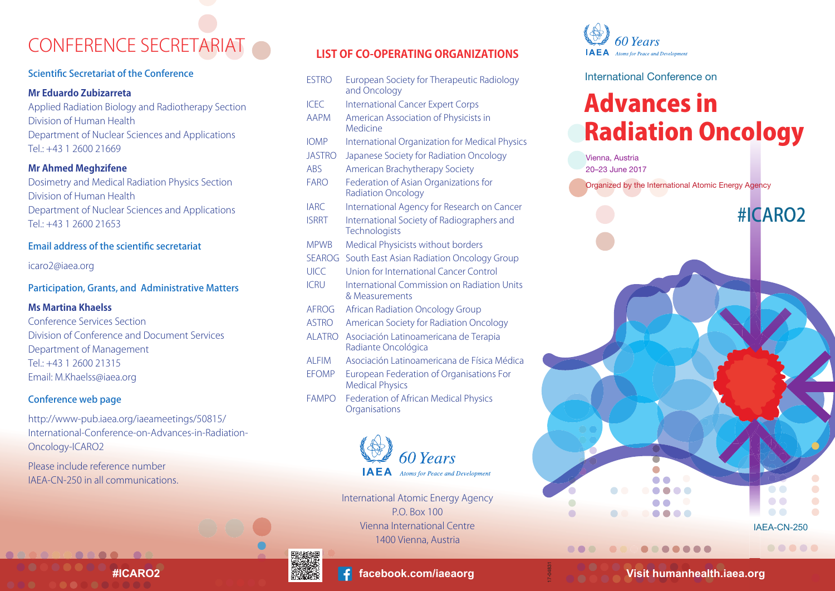# CONFERENCE SECRETARIAT

### Scientific Secretariat of the Conference

#### **Mr Eduardo Zubizarreta**

Applied Radiation Biology and Radiotherapy Section Division of Human Health Department of Nuclear Sciences and Applications Tel.: +43 1 2600 21669

### **Mr Ahmed Meghzifene**

Dosimetry and Medical Radiation Physics Section Division of Human Health Department of Nuclear Sciences and Applications  $Tel: +43 1 2600 21653$ 

### Email address of the scientific secretariat

[icaro2@iaea.org](mailto: icaro@iaea.org)

### Participation, Grants, and Administrative Matters

#### **Ms Martina Khaelss**

Conference Services Section Division of Conference and Document Services Department of Management Tel.: +43 1 2600 21315 Email: [M.Khaelss@iaea.org](mailto: M.Khaelss@iaea.org)

### Conference web page

http://www-pub.iaea.org/iaeameetings/50815/ [International-Conference-on-Advances-in-Radiation-](http://www-pub.iaea.org/iaeameetings/50815/International-Conference-on-Advances-in-Radiation-Oncology-ICARO2)Oncology-ICARO2

Please include reference number IAEA-CN-250 in all communications.

### **LIST OF CO-OPERATING ORGANIZATIONS**

- ESTRO European Society for Therapeutic Radiology and Oncology
- **ICEC** International Cancer Expert Corps
- AAPM American Association of Physicists in Medicine
- IOMP International Organization for Medical Physics
- JASTRO Japanese Society for Radiation Oncology
- ABS American Brachytherapy Society
- FARO Federation of Asian Organizations for Radiation Oncology
- IARC International Agency for Research on Cancer
- ISRRT International Society of Radiographers and **Technologists**
- MPWB Medical Physicists without borders
- SEAROG South East Asian Radiation Oncology Group
- UICC Union for International Cancer Control
- ICRU International Commission on Radiation Units & Measurements
- AFROG African Radiation Oncology Group
- ASTRO American Society for Radiation Oncology
- ALATRO Asociación Latinoamericana de Terapia Radiante Oncológica
- ALFIM Asociación Latinoamericana de Física Médica
- EFOMP European Federation of Organisations For Medical Physics
- FAMPO Federation of African Medical Physics **Organisations**



International Atomic Energy Agency P.O. Box 100 Vienna International Centre 1400 Vienna, Austria





International Conference on

# Advances in Radiation Oncology



.......

...

.....